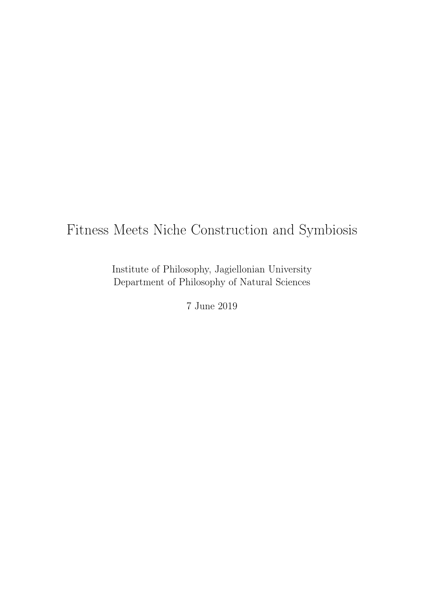# Fitness Meets Niche Construction and Symbiosis

Institute of Philosophy, Jagiellonian University Department of Philosophy of Natural Sciences

7 June 2019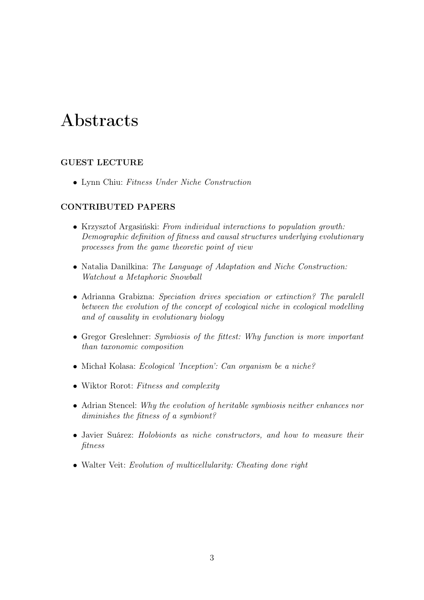# Abstracts

## GUEST LECTURE

• Lynn Chiu: Fitness Under Niche Construction

### CONTRIBUTED PAPERS

- Krzysztof Argasiński: From individual interactions to population growth: Demographic definition of fitness and causal structures underlying evolutionary processes from the game theoretic point of view
- Natalia Danilkina: The Language of Adaptation and Niche Construction: Watchout a Metaphoric Snowball
- Adrianna Grabizna: Speciation drives speciation or extinction? The paralell between the evolution of the concept of ecological niche in ecological modelling and of causality in evolutionary biology
- Gregor Greslehner: Symbiosis of the fittest: Why function is more important than taxonomic composition
- Michał Kolasa: Ecological 'Inception': Can organism be a niche?
- Wiktor Rorot: Fitness and complexity
- Adrian Stencel: Why the evolution of heritable symbiosis neither enhances nor diminishes the fitness of a symbiont?
- Javier Suárez: Holobionts as niche constructors, and how to measure their fitness
- Walter Veit: Evolution of multicellularity: Cheating done right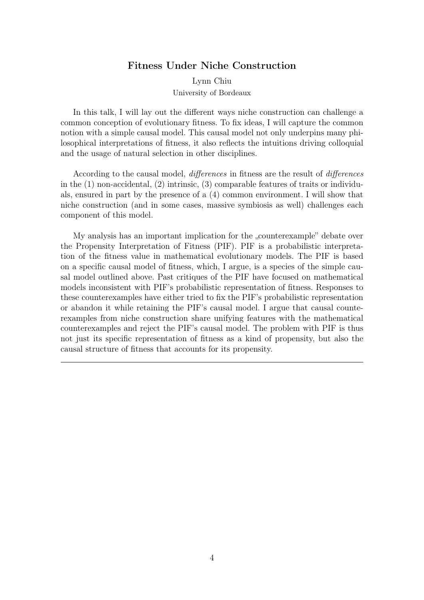#### Fitness Under Niche Construction

Lynn Chiu University of Bordeaux

In this talk, I will lay out the different ways niche construction can challenge a common conception of evolutionary fitness. To fix ideas, I will capture the common notion with a simple causal model. This causal model not only underpins many philosophical interpretations of fitness, it also reflects the intuitions driving colloquial and the usage of natural selection in other disciplines.

According to the causal model, differences in fitness are the result of differences in the (1) non-accidental, (2) intrinsic, (3) comparable features of traits or individuals, ensured in part by the presence of a (4) common environment. I will show that niche construction (and in some cases, massive symbiosis as well) challenges each component of this model.

My analysis has an important implication for the "counterexample" debate over the Propensity Interpretation of Fitness (PIF). PIF is a probabilistic interpretation of the fitness value in mathematical evolutionary models. The PIF is based on a specific causal model of fitness, which, I argue, is a species of the simple causal model outlined above. Past critiques of the PIF have focused on mathematical models inconsistent with PIF's probabilistic representation of fitness. Responses to these counterexamples have either tried to fix the PIF's probabilistic representation or abandon it while retaining the PIF's causal model. I argue that causal counterexamples from niche construction share unifying features with the mathematical counterexamples and reject the PIF's causal model. The problem with PIF is thus not just its specific representation of fitness as a kind of propensity, but also the causal structure of fitness that accounts for its propensity.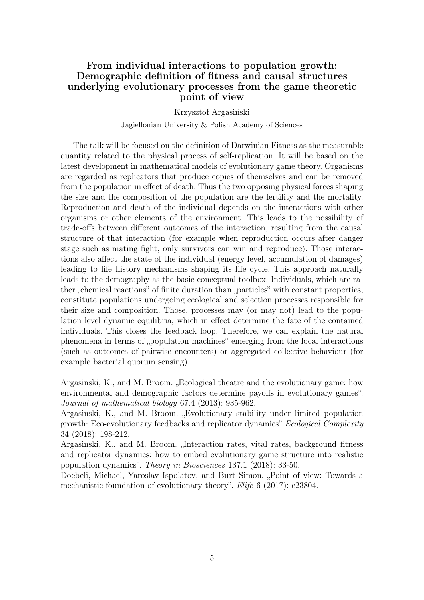# From individual interactions to population growth: Demographic definition of fitness and causal structures underlying evolutionary processes from the game theoretic point of view

Krzysztof Argasiński Jagiellonian University & Polish Academy of Sciences

The talk will be focused on the definition of Darwinian Fitness as the measurable quantity related to the physical process of self-replication. It will be based on the latest development in mathematical models of evolutionary game theory. Organisms are regarded as replicators that produce copies of themselves and can be removed from the population in effect of death. Thus the two opposing physical forces shaping the size and the composition of the population are the fertility and the mortality. Reproduction and death of the individual depends on the interactions with other organisms or other elements of the environment. This leads to the possibility of trade-offs between different outcomes of the interaction, resulting from the causal structure of that interaction (for example when reproduction occurs after danger stage such as mating fight, only survivors can win and reproduce). Those interactions also affect the state of the individual (energy level, accumulation of damages) leading to life history mechanisms shaping its life cycle. This approach naturally leads to the demography as the basic conceptual toolbox. Individuals, which are rather "chemical reactions" of finite duration than "particles" with constant properties, constitute populations undergoing ecological and selection processes responsible for their size and composition. Those, processes may (or may not) lead to the population level dynamic equilibria, which in effect determine the fate of the contained individuals. This closes the feedback loop. Therefore, we can explain the natural phenomena in terms of "population machines" emerging from the local interactions (such as outcomes of pairwise encounters) or aggregated collective behaviour (for example bacterial quorum sensing).

Argasinski, K., and M. Broom. "Ecological theatre and the evolutionary game: how environmental and demographic factors determine payoffs in evolutionary games". Journal of mathematical biology 67.4 (2013): 935-962.

Argasinski, K., and M. Broom. "Evolutionary stability under limited population growth: Eco-evolutionary feedbacks and replicator dynamics" Ecological Complexity 34 (2018): 198-212.

Argasinski, K., and M. Broom. "Interaction rates, vital rates, background fitness and replicator dynamics: how to embed evolutionary game structure into realistic population dynamics". Theory in Biosciences 137.1 (2018): 33-50.

Doebeli, Michael, Yaroslav Ispolatov, and Burt Simon. "Point of view: Towards a mechanistic foundation of evolutionary theory". *Elife* 6 (2017): e23804.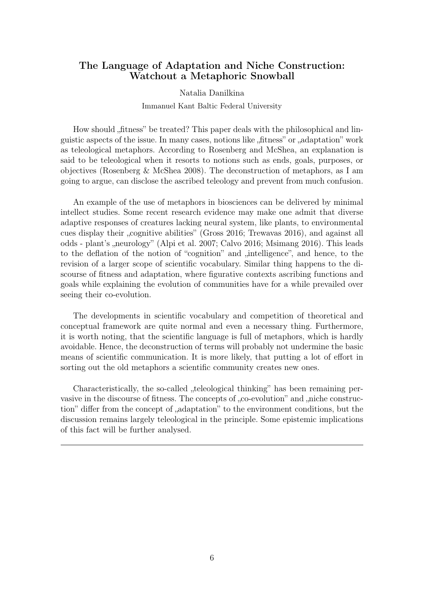# The Language of Adaptation and Niche Construction: Watchout a Metaphoric Snowball

#### Natalia Danilkina

#### Immanuel Kant Baltic Federal University

How should "fitness" be treated? This paper deals with the philosophical and linguistic aspects of the issue. In many cases, notions like "fitness" or "adaptation" work as teleological metaphors. According to Rosenberg and McShea, an explanation is said to be teleological when it resorts to notions such as ends, goals, purposes, or objectives (Rosenberg & McShea 2008). The deconstruction of metaphors, as I am going to argue, can disclose the ascribed teleology and prevent from much confusion.

An example of the use of metaphors in biosciences can be delivered by minimal intellect studies. Some recent research evidence may make one admit that diverse adaptive responses of creatures lacking neural system, like plants, to environmental cues display their "cognitive abilities" (Gross 2016; Trewavas 2016), and against all odds - plant's "neurology" (Alpi et al. 2007; Calvo 2016; Msimang 2016). This leads to the deflation of the notion of "cognition" and "intelligence", and hence, to the revision of a larger scope of scientific vocabulary. Similar thing happens to the discourse of fitness and adaptation, where figurative contexts ascribing functions and goals while explaining the evolution of communities have for a while prevailed over seeing their co-evolution.

The developments in scientific vocabulary and competition of theoretical and conceptual framework are quite normal and even a necessary thing. Furthermore, it is worth noting, that the scientific language is full of metaphors, which is hardly avoidable. Hence, the deconstruction of terms will probably not undermine the basic means of scientific communication. It is more likely, that putting a lot of effort in sorting out the old metaphors a scientific community creates new ones.

Characteristically, the so-called "teleological thinking" has been remaining pervasive in the discourse of fitness. The concepts of "co-evolution" and "niche construction" differ from the concept of "adaptation" to the environment conditions, but the discussion remains largely teleological in the principle. Some epistemic implications of this fact will be further analysed.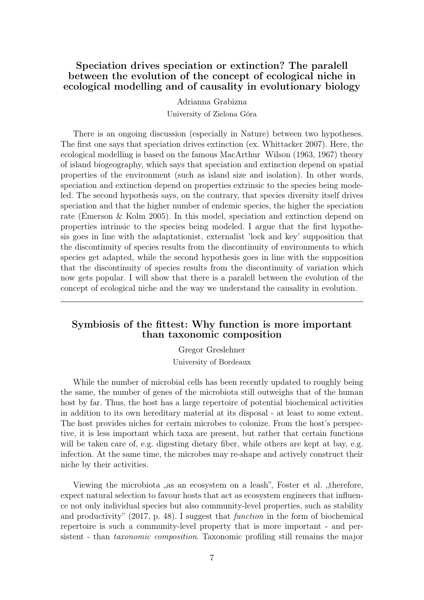# Speciation drives speciation or extinction? The paralell between the evolution of the concept of ecological niche in ecological modelling and of causality in evolutionary biology

Adrianna Grabizna

University of Zielona Góra

There is an ongoing discussion (especially in Nature) between two hypotheses. The first one says that speciation drives extinction (ex. Whittacker 2007). Here, the ecological modelling is based on the famous MacArthur Wilson (1963, 1967) theory of island biogeography, which says that speciation and extinction depend on spatial properties of the environment (such as island size and isolation). In other words, speciation and extinction depend on properties extrinsic to the species being modeled. The second hypothesis says, on the contrary, that species diversity itself drives speciation and that the higher number of endemic species, the higher the speciation rate (Emerson & Kolm 2005). In this model, speciation and extinction depend on properties intrinsic to the species being modeled. I argue that the first hypothesis goes in line with the adaptationist, externalist 'lock and key' supposition that the discontinuity of species results from the discontinuity of environments to which species get adapted, while the second hypothesis goes in line with the supposition that the discontinuity of species results from the discontinuity of variation which now gets popular. I will show that there is a paralell between the evolution of the concept of ecological niche and the way we understand the causality in evolution.

# Symbiosis of the fittest: Why function is more important than taxonomic composition

Gregor Greslehner University of Bordeaux

While the number of microbial cells has been recently updated to roughly being the same, the number of genes of the microbiota still outweighs that of the human host by far. Thus, the host has a large repertoire of potential biochemical activities in addition to its own hereditary material at its disposal - at least to some extent. The host provides niches for certain microbes to colonize. From the host's perspective, it is less important which taxa are present, but rather that certain functions will be taken care of, e.g. digesting dietary fiber, while others are kept at bay, e.g. infection. At the same time, the microbes may re-shape and actively construct their niche by their activities.

Viewing the microbiota "as an ecosystem on a leash", Foster et al. "therefore, expect natural selection to favour hosts that act as ecosystem engineers that influence not only individual species but also community-level properties, such as stability and productivity" (2017, p. 48). I suggest that function in the form of biochemical repertoire is such a community-level property that is more important - and persistent - than *taxonomic composition*. Taxonomic profiling still remains the major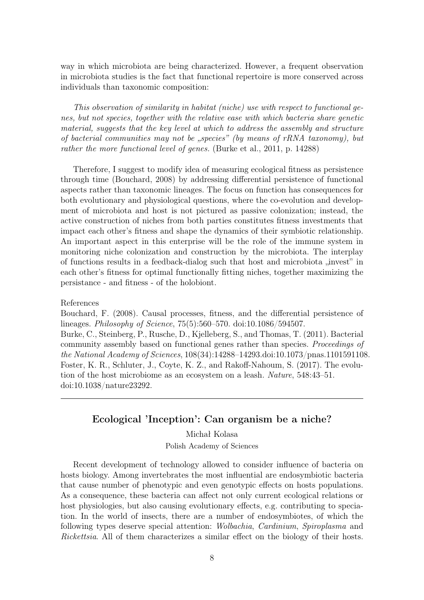way in which microbiota are being characterized. However, a frequent observation in microbiota studies is the fact that functional repertoire is more conserved across individuals than taxonomic composition:

This observation of similarity in habitat (niche) use with respect to functional genes, but not species, together with the relative ease with which bacteria share genetic material, suggests that the key level at which to address the assembly and structure of bacterial communities may not be "species" (by means of rRNA taxonomy), but rather the more functional level of genes. (Burke et al., 2011, p. 14288)

Therefore, I suggest to modify idea of measuring ecological fitness as persistence through time (Bouchard, 2008) by addressing differential persistence of functional aspects rather than taxonomic lineages. The focus on function has consequences for both evolutionary and physiological questions, where the co-evolution and development of microbiota and host is not pictured as passive colonization; instead, the active construction of niches from both parties constitutes fitness investments that impact each other's fitness and shape the dynamics of their symbiotic relationship. An important aspect in this enterprise will be the role of the immune system in monitoring niche colonization and construction by the microbiota. The interplay of functions results in a feedback-dialog such that host and microbiota  $\mu$  invest" in each other's fitness for optimal functionally fitting niches, together maximizing the persistance - and fitness - of the holobiont.

References

Bouchard, F. (2008). Causal processes, fitness, and the differential persistence of lineages. Philosophy of Science, 75(5):560–570. doi:10.1086/594507. Burke, C., Steinberg, P., Rusche, D., Kjelleberg, S., and Thomas, T. (2011). Bacterial community assembly based on functional genes rather than species. Proceedings of the National Academy of Sciences, 108(34):14288–14293.doi:10.1073/pnas.1101591108. Foster, K. R., Schluter, J., Coyte, K. Z., and Rakoff-Nahoum, S. (2017). The evolution of the host microbiome as an ecosystem on a leash. Nature, 548:43–51. doi:10.1038/nature23292.

## Ecological 'Inception': Can organism be a niche?

Michał Kolasa

Polish Academy of Sciences

Recent development of technology allowed to consider influence of bacteria on hosts biology. Among invertebrates the most influential are endosymbiotic bacteria that cause number of phenotypic and even genotypic effects on hosts populations. As a consequence, these bacteria can affect not only current ecological relations or host physiologies, but also causing evolutionary effects, e.g. contributing to speciation. In the world of insects, there are a number of endosymbiotes, of which the following types deserve special attention: Wolbachia, Cardinium, Spiroplasma and Rickettsia. All of them characterizes a similar effect on the biology of their hosts.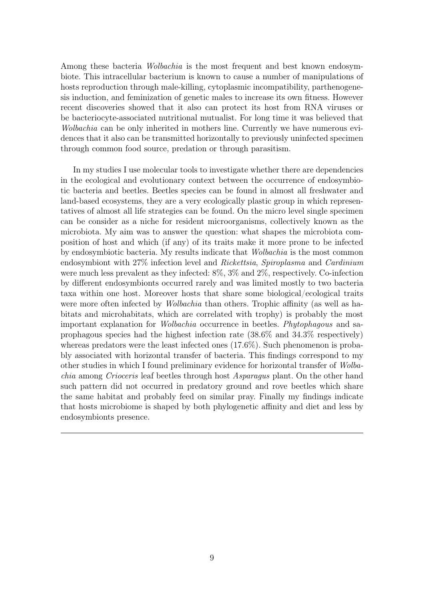Among these bacteria *Wolbachia* is the most frequent and best known endosymbiote. This intracellular bacterium is known to cause a number of manipulations of hosts reproduction through male-killing, cytoplasmic incompatibility, parthenogenesis induction, and feminization of genetic males to increase its own fitness. However recent discoveries showed that it also can protect its host from RNA viruses or be bacteriocyte-associated nutritional mutualist. For long time it was believed that Wolbachia can be only inherited in mothers line. Currently we have numerous evidences that it also can be transmitted horizontally to previously uninfected specimen through common food source, predation or through parasitism.

In my studies I use molecular tools to investigate whether there are dependencies in the ecological and evolutionary context between the occurrence of endosymbiotic bacteria and beetles. Beetles species can be found in almost all freshwater and land-based ecosystems, they are a very ecologically plastic group in which representatives of almost all life strategies can be found. On the micro level single specimen can be consider as a niche for resident microorganisms, collectively known as the microbiota. My aim was to answer the question: what shapes the microbiota composition of host and which (if any) of its traits make it more prone to be infected by endosymbiotic bacteria. My results indicate that Wolbachia is the most common endosymbiont with 27% infection level and Rickettsia, Spiroplasma and Cardinium were much less prevalent as they infected: 8%, 3% and 2%, respectively. Co-infection by different endosymbionts occurred rarely and was limited mostly to two bacteria taxa within one host. Moreover hosts that share some biological/ecological traits were more often infected by *Wolbachia* than others. Trophic affinity (as well as habitats and microhabitats, which are correlated with trophy) is probably the most important explanation for Wolbachia occurrence in beetles. Phytophagous and saprophagous species had the highest infection rate (38.6% and 34.3% respectively) whereas predators were the least infected ones (17.6%). Such phenomenon is probably associated with horizontal transfer of bacteria. This findings correspond to my other studies in which I found preliminary evidence for horizontal transfer of Wolbachia among Crioceris leaf beetles through host Asparagus plant. On the other hand such pattern did not occurred in predatory ground and rove beetles which share the same habitat and probably feed on similar pray. Finally my findings indicate that hosts microbiome is shaped by both phylogenetic affinity and diet and less by endosymbionts presence.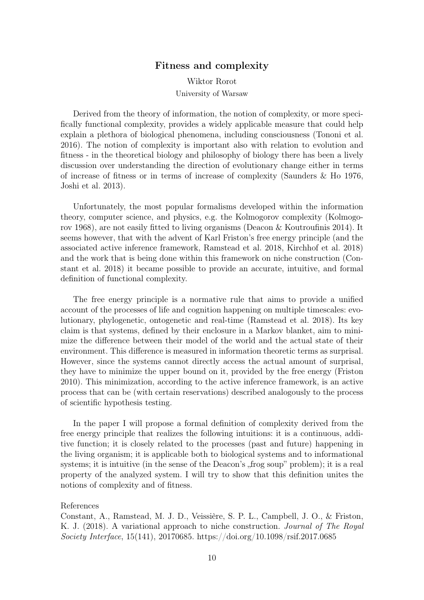### Fitness and complexity

Wiktor Rorot University of Warsaw

Derived from the theory of information, the notion of complexity, or more specifically functional complexity, provides a widely applicable measure that could help explain a plethora of biological phenomena, including consciousness (Tononi et al. 2016). The notion of complexity is important also with relation to evolution and fitness - in the theoretical biology and philosophy of biology there has been a lively discussion over understanding the direction of evolutionary change either in terms of increase of fitness or in terms of increase of complexity (Saunders & Ho 1976, Joshi et al. 2013).

Unfortunately, the most popular formalisms developed within the information theory, computer science, and physics, e.g. the Kolmogorov complexity (Kolmogorov 1968), are not easily fitted to living organisms (Deacon & Koutroufinis 2014). It seems however, that with the advent of Karl Friston's free energy principle (and the associated active inference framework, Ramstead et al. 2018, Kirchhof et al. 2018) and the work that is being done within this framework on niche construction (Constant et al. 2018) it became possible to provide an accurate, intuitive, and formal definition of functional complexity.

The free energy principle is a normative rule that aims to provide a unified account of the processes of life and cognition happening on multiple timescales: evolutionary, phylogenetic, ontogenetic and real-time (Ramstead et al. 2018). Its key claim is that systems, defined by their enclosure in a Markov blanket, aim to minimize the difference between their model of the world and the actual state of their environment. This difference is measured in information theoretic terms as surprisal. However, since the systems cannot directly access the actual amount of surprisal, they have to minimize the upper bound on it, provided by the free energy (Friston 2010). This minimization, according to the active inference framework, is an active process that can be (with certain reservations) described analogously to the process of scientific hypothesis testing.

In the paper I will propose a formal definition of complexity derived from the free energy principle that realizes the following intuitions: it is a continuous, additive function; it is closely related to the processes (past and future) happening in the living organism; it is applicable both to biological systems and to informational systems; it is intuitive (in the sense of the Deacon's , frog soup" problem); it is a real property of the analyzed system. I will try to show that this definition unites the notions of complexity and of fitness.

#### References

Constant, A., Ramstead, M. J. D., Veissière, S. P. L., Campbell, J. O., & Friston, K. J. (2018). A variational approach to niche construction. Journal of The Royal Society Interface, 15(141), 20170685. https://doi.org/10.1098/rsif.2017.0685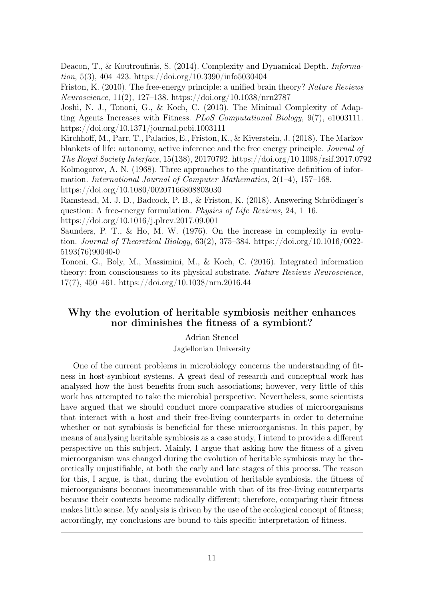Deacon, T., & Koutroufinis, S. (2014). Complexity and Dynamical Depth. *Informa*tion, 5(3), 404–423. https://doi.org/10.3390/info5030404

Friston, K. (2010). The free-energy principle: a unified brain theory? Nature Reviews Neuroscience, 11(2), 127–138. https://doi.org/10.1038/nrn2787

Joshi, N. J., Tononi, G., & Koch, C. (2013). The Minimal Complexity of Adapting Agents Increases with Fitness. PLoS Computational Biology, 9(7), e1003111. https://doi.org/10.1371/journal.pcbi.1003111

Kirchhoff, M., Parr, T., Palacios, E., Friston, K., & Kiverstein, J. (2018). The Markov blankets of life: autonomy, active inference and the free energy principle. Journal of The Royal Society Interface, 15(138), 20170792. https://doi.org/10.1098/rsif.2017.0792 Kolmogorov, A. N. (1968). Three approaches to the quantitative definition of information. International Journal of Computer Mathematics, 2(1–4), 157–168. https://doi.org/10.1080/00207166808803030

Ramstead, M. J. D., Badcock, P. B., & Friston, K. (2018). Answering Schrödinger's question: A free-energy formulation. Physics of Life Reviews, 24, 1–16. https://doi.org/10.1016/j.plrev.2017.09.001

Saunders, P. T., & Ho, M. W. (1976). On the increase in complexity in evolution. Journal of Theoretical Biology,  $63(2)$ ,  $375-384$ . https://doi.org/10.1016/0022-5193(76)90040-0

Tononi, G., Boly, M., Massimini, M., & Koch, C. (2016). Integrated information theory: from consciousness to its physical substrate. Nature Reviews Neuroscience, 17(7), 450–461. https://doi.org/10.1038/nrn.2016.44

# Why the evolution of heritable symbiosis neither enhances nor diminishes the fitness of a symbiont?

Adrian Stencel

Jagiellonian University

One of the current problems in microbiology concerns the understanding of fitness in host-symbiont systems. A great deal of research and conceptual work has analysed how the host benefits from such associations; however, very little of this work has attempted to take the microbial perspective. Nevertheless, some scientists have argued that we should conduct more comparative studies of microorganisms that interact with a host and their free-living counterparts in order to determine whether or not symbiosis is beneficial for these microorganisms. In this paper, by means of analysing heritable symbiosis as a case study, I intend to provide a different perspective on this subject. Mainly, I argue that asking how the fitness of a given microorganism was changed during the evolution of heritable symbiosis may be theoretically unjustifiable, at both the early and late stages of this process. The reason for this, I argue, is that, during the evolution of heritable symbiosis, the fitness of microorganisms becomes incommensurable with that of its free-living counterparts because their contexts become radically different; therefore, comparing their fitness makes little sense. My analysis is driven by the use of the ecological concept of fitness; accordingly, my conclusions are bound to this specific interpretation of fitness.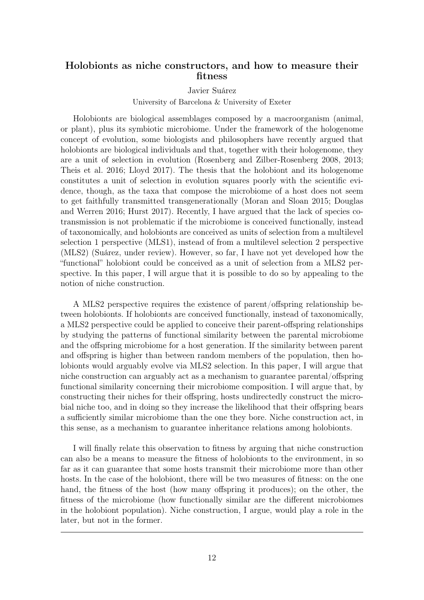## Holobionts as niche constructors, and how to measure their fitness

#### Javier Suárez

#### University of Barcelona & University of Exeter

Holobionts are biological assemblages composed by a macroorganism (animal, or plant), plus its symbiotic microbiome. Under the framework of the hologenome concept of evolution, some biologists and philosophers have recently argued that holobionts are biological individuals and that, together with their hologenome, they are a unit of selection in evolution (Rosenberg and Zilber-Rosenberg 2008, 2013; Theis et al. 2016; Lloyd 2017). The thesis that the holobiont and its hologenome constitutes a unit of selection in evolution squares poorly with the scientific evidence, though, as the taxa that compose the microbiome of a host does not seem to get faithfully transmitted transgenerationally (Moran and Sloan 2015; Douglas and Werren 2016; Hurst 2017). Recently, I have argued that the lack of species cotransmission is not problematic if the microbiome is conceived functionally, instead of taxonomically, and holobionts are conceived as units of selection from a multilevel selection 1 perspective (MLS1), instead of from a multilevel selection 2 perspective (MLS2) (Suárez, under review). However, so far, I have not yet developed how the "functional" holobiont could be conceived as a unit of selection from a MLS2 perspective. In this paper, I will argue that it is possible to do so by appealing to the notion of niche construction.

A MLS2 perspective requires the existence of parent/offspring relationship between holobionts. If holobionts are conceived functionally, instead of taxonomically, a MLS2 perspective could be applied to conceive their parent-offspring relationships by studying the patterns of functional similarity between the parental microbiome and the offspring microbiome for a host generation. If the similarity between parent and offspring is higher than between random members of the population, then holobionts would arguably evolve via MLS2 selection. In this paper, I will argue that niche construction can arguably act as a mechanism to guarantee parental/offspring functional similarity concerning their microbiome composition. I will argue that, by constructing their niches for their offspring, hosts undirectedly construct the microbial niche too, and in doing so they increase the likelihood that their offspring bears a sufficiently similar microbiome than the one they bore. Niche construction act, in this sense, as a mechanism to guarantee inheritance relations among holobionts.

I will finally relate this observation to fitness by arguing that niche construction can also be a means to measure the fitness of holobionts to the environment, in so far as it can guarantee that some hosts transmit their microbiome more than other hosts. In the case of the holobiont, there will be two measures of fitness: on the one hand, the fitness of the host (how many offspring it produces); on the other, the fitness of the microbiome (how functionally similar are the different microbiomes in the holobiont population). Niche construction, I argue, would play a role in the later, but not in the former.